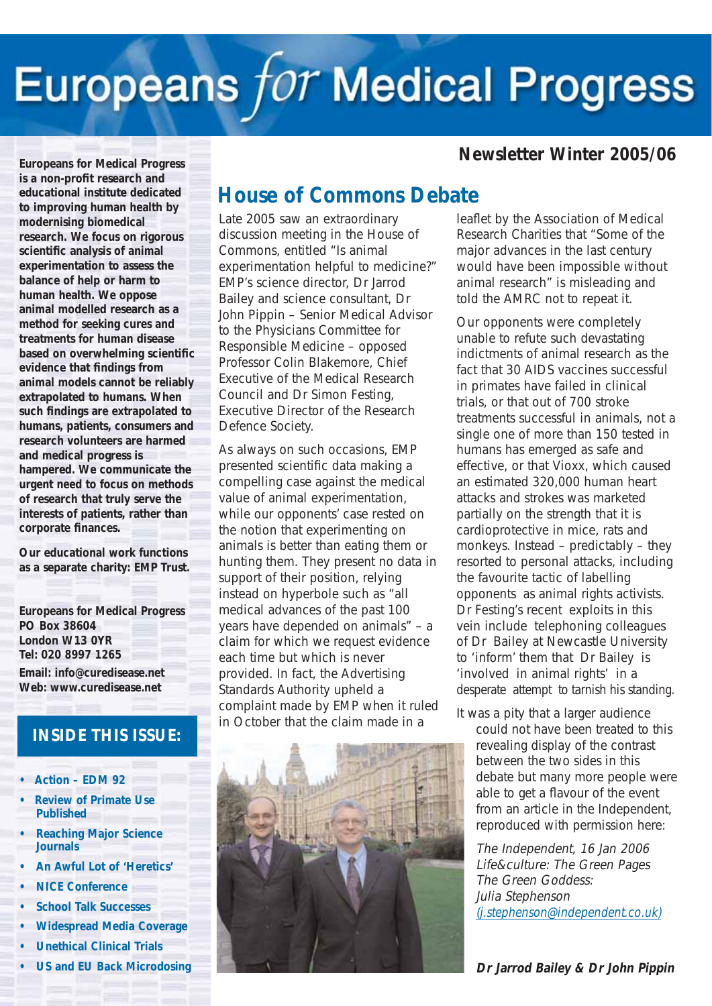# Europeans for Medical Progress

#### **Newsletter Winter 2005/06**

**Europeans for Medical Progress is a non-profit research and educational institute dedicated to improving human health by modernising biomedical research. We focus on rigorous scientific analysis of animal experimentation to assess the balance of help or harm to human health. We oppose animal modelled research as a method for seeking cures and treatments for human disease based on overwhelming scientific evidence that findings from animal models cannot be reliably extrapolated to humans. When such findings are extrapolated to humans, patients, consumers and research volunteers are harmed and medical progress is hampered. We communicate the urgent need to focus on methods of research that truly serve the interests of patients, rather than corporate finances.**

**Our educational work functions as a separate charity: EMP Trust.**

**Europeans for Medical Progress PO Box 38604 London W13 0YR Tel: 020 8997 1265**

**Email: info@curedisease.net Web: www.curedisease.net**

#### **INSIDE THIS ISSUE:**

- **Action EDM 92**
- **Review of Primate Use Published**
- **Reaching Major Science Journals**
- **An Awful Lot of 'Heretics'**
- **NICE Conference**
- **School Talk Successes**
- **Widespread Media Coverage**
- **Unethical Clinical Trials**
- **US and EU Back Microdosing**

#### **House of Commons Debate**

Late 2005 saw an extraordinary discussion meeting in the House of Commons, entitled "Is animal experimentation helpful to medicine?" EMP's science director, Dr Jarrod Bailey and science consultant, Dr John Pippin – Senior Medical Advisor to the Physicians Committee for Responsible Medicine – opposed Professor Colin Blakemore, Chief Executive of the Medical Research Council and Dr Simon Festing, Executive Director of the Research Defence Society.

As always on such occasions, EMP presented scientific data making a compelling case against the medical value of animal experimentation, while our opponents' case rested on the notion that experimenting on animals is better than eating them or hunting them. They present no data in support of their position, relying instead on hyperbole such as "all medical advances of the past 100 years have depended on animals" – a claim for which we request evidence each time but which is never provided. In fact, the Advertising Standards Authority upheld a complaint made by EMP when it ruled in October that the claim made in a



leaflet by the Association of Medical Research Charities that "Some of the major advances in the last century would have been impossible without animal research" is misleading and told the AMRC not to repeat it.

Our opponents were completely unable to refute such devastating indictments of animal research as the fact that 30 AIDS vaccines successful in primates have failed in clinical trials, or that out of 700 stroke treatments successful in animals, not a single one of more than 150 tested in humans has emerged as safe and effective, or that Vioxx, which caused an estimated 320,000 human heart attacks and strokes was marketed partially on the strength that it is cardioprotective in mice, rats and monkeys. Instead – predictably – they resorted to personal attacks, including the favourite tactic of labelling opponents as animal rights activists. Dr Festing's recent exploits in this vein include telephoning colleagues of Dr Bailey at Newcastle University to 'inform' them that Dr Bailey is 'involved in animal rights' in a desperate attempt to tarnish his standing.

It was a pity that a larger audience

could not have been treated to this revealing display of the contrast between the two sides in this debate but many more people were able to get a flavour of the event from an article in the Independent, reproduced with permission here:

The Independent, 16 Jan 2006 Life&culture: The Green Pages The Green Goddess: Julia Stephenson (j.stephenson@independent.co.uk)

**Dr Jarrod Bailey & Dr John Pippin**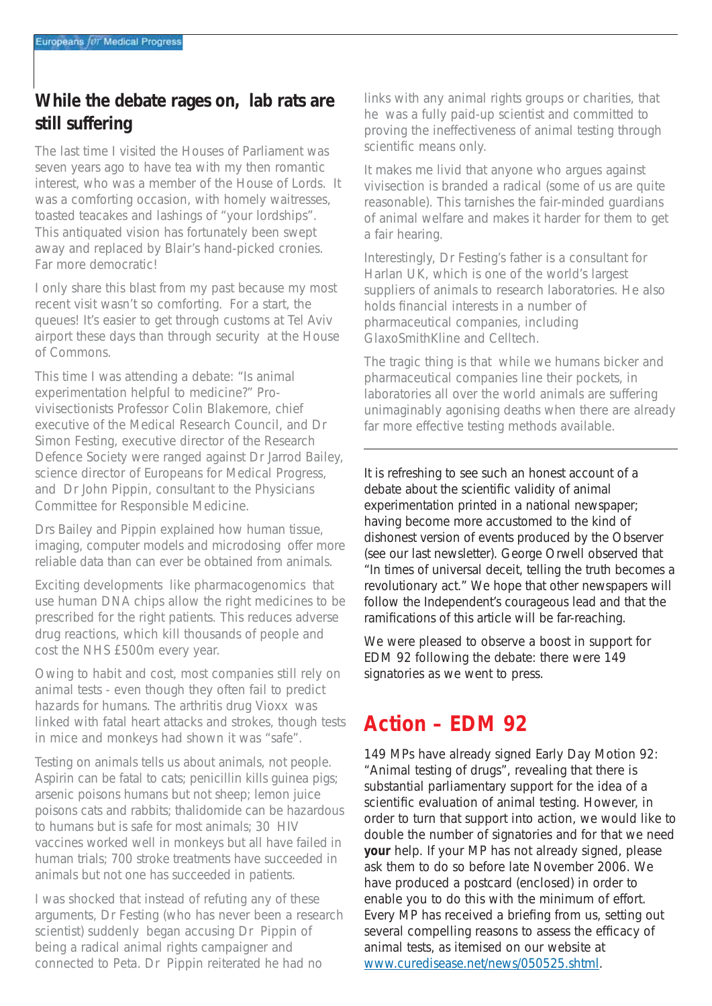#### **While the debate rages on, lab rats are still suffering**

The last time I visited the Houses of Parliament was seven years ago to have tea with my then romantic interest, who was a member of the House of Lords. It was a comforting occasion, with homely waitresses, toasted teacakes and lashings of "your lordships". This antiquated vision has fortunately been swept away and replaced by Blair's hand-picked cronies. Far more democratic!

I only share this blast from my past because my most recent visit wasn't so comforting. For a start, the queues! It's easier to get through customs at Tel Aviv airport these days than through security at the House of Commons.

This time I was attending a debate: "Is animal experimentation helpful to medicine?" Provivisectionists Professor Colin Blakemore, chief executive of the Medical Research Council, and Dr Simon Festing, executive director of the Research Defence Society were ranged against Dr Jarrod Bailey, science director of Europeans for Medical Progress, and Dr John Pippin, consultant to the Physicians Committee for Responsible Medicine.

Drs Bailey and Pippin explained how human tissue, imaging, computer models and microdosing offer more reliable data than can ever be obtained from animals.

Exciting developments like pharmacogenomics that use human DNA chips allow the right medicines to be prescribed for the right patients. This reduces adverse drug reactions, which kill thousands of people and cost the NHS £500m every year.

Owing to habit and cost, most companies still rely on animal tests - even though they often fail to predict hazards for humans. The arthritis drug Vioxx was linked with fatal heart attacks and strokes, though tests in mice and monkeys had shown it was "safe".

Testing on animals tells us about animals, not people. Aspirin can be fatal to cats; penicillin kills guinea pigs; arsenic poisons humans but not sheep; lemon juice poisons cats and rabbits; thalidomide can be hazardous to humans but is safe for most animals; 30 HIV vaccines worked well in monkeys but all have failed in human trials; 700 stroke treatments have succeeded in animals but not one has succeeded in patients.

I was shocked that instead of refuting any of these arguments, Dr Festing (who has never been a research scientist) suddenly began accusing Dr Pippin of being a radical animal rights campaigner and connected to Peta. Dr Pippin reiterated he had no

links with any animal rights groups or charities, that he was a fully paid-up scientist and committed to proving the ineffectiveness of animal testing through scientific means only.

It makes me livid that anyone who argues against vivisection is branded a radical (some of us are quite reasonable). This tarnishes the fair-minded guardians of animal welfare and makes it harder for them to get a fair hearing.

Interestingly, Dr Festing's father is a consultant for Harlan UK, which is one of the world's largest suppliers of animals to research laboratories. He also holds financial interests in a number of pharmaceutical companies, including GlaxoSmithKline and Celltech.

The tragic thing is that while we humans bicker and pharmaceutical companies line their pockets, in laboratories all over the world animals are suffering unimaginably agonising deaths when there are already far more effective testing methods available.

It is refreshing to see such an honest account of a debate about the scientific validity of animal experimentation printed in a national newspaper; having become more accustomed to the kind of dishonest version of events produced by the Observer (see our last newsletter). George Orwell observed that "In times of universal deceit, telling the truth becomes a revolutionary act." We hope that other newspapers will follow the Independent's courageous lead and that the ramifications of this article will be far-reaching.

We were pleased to observe a boost in support for EDM 92 following the debate: there were 149 signatories as we went to press.

#### **Action – EDM 92**

149 MPs have already signed Early Day Motion 92: "Animal testing of drugs", revealing that there is substantial parliamentary support for the idea of a scientific evaluation of animal testing. However, in order to turn that support into action, we would like to double the number of signatories and for that we need **your** help. If your MP has not already signed, please ask them to do so before late November 2006. We have produced a postcard (enclosed) in order to enable you to do this with the minimum of effort. Every MP has received a briefing from us, setting out several compelling reasons to assess the efficacy of animal tests, as itemised on our website at www.curedisease.net/news/050525.shtml.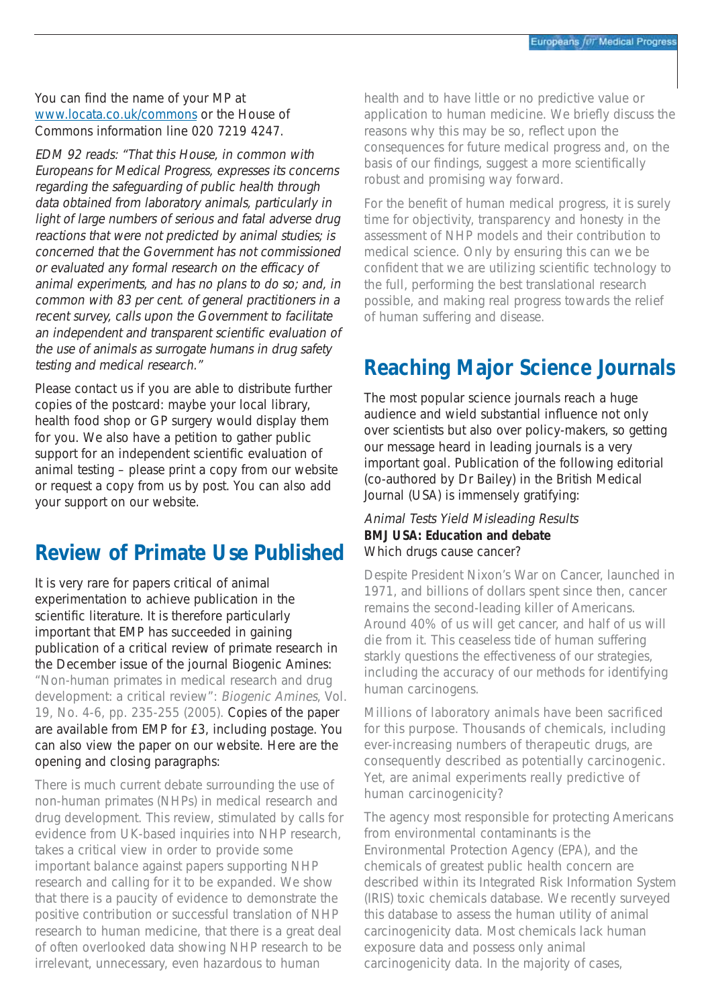You can find the name of your MP at www.locata.co.uk/commons or the House of Commons information line 020 7219 4247.

EDM 92 reads: "That this House, in common with Europeans for Medical Progress, expresses its concerns regarding the safeguarding of public health through data obtained from laboratory animals, particularly in light of large numbers of serious and fatal adverse drug reactions that were not predicted by animal studies; is concerned that the Government has not commissioned or evaluated any formal research on the efficacy of animal experiments, and has no plans to do so; and, in common with 83 per cent. of general practitioners in a recent survey, calls upon the Government to facilitate an independent and transparent scientific evaluation of the use of animals as surrogate humans in drug safety testing and medical research."

Please contact us if you are able to distribute further copies of the postcard: maybe your local library, health food shop or GP surgery would display them for you. We also have a petition to gather public support for an independent scientific evaluation of animal testing – please print a copy from our website or request a copy from us by post. You can also add your support on our website.

## **Review of Primate Use Published**

It is very rare for papers critical of animal experimentation to achieve publication in the scientific literature. It is therefore particularly important that EMP has succeeded in gaining publication of a critical review of primate research in the December issue of the journal Biogenic Amines: "Non-human primates in medical research and drug development: a critical review": Biogenic Amines, Vol. 19, No. 4-6, pp. 235-255 (2005). Copies of the paper are available from EMP for £3, including postage. You can also view the paper on our website. Here are the opening and closing paragraphs:

There is much current debate surrounding the use of non-human primates (NHPs) in medical research and drug development. This review, stimulated by calls for evidence from UK-based inquiries into NHP research, takes a critical view in order to provide some important balance against papers supporting NHP research and calling for it to be expanded. We show that there is a paucity of evidence to demonstrate the positive contribution or successful translation of NHP research to human medicine, that there is a great deal of often overlooked data showing NHP research to be irrelevant, unnecessary, even hazardous to human

health and to have little or no predictive value or application to human medicine. We briefly discuss the reasons why this may be so, reflect upon the consequences for future medical progress and, on the basis of our findings, suggest a more scientifically robust and promising way forward.

For the benefit of human medical progress, it is surely time for objectivity, transparency and honesty in the assessment of NHP models and their contribution to medical science. Only by ensuring this can we be confident that we are utilizing scientific technology to the full, performing the best translational research possible, and making real progress towards the relief of human suffering and disease.

# **Reaching Major Science Journals**

The most popular science journals reach a huge audience and wield substantial influence not only over scientists but also over policy-makers, so getting our message heard in leading journals is a very important goal. Publication of the following editorial (co-authored by Dr Bailey) in the British Medical Journal (USA) is immensely gratifying:

#### Animal Tests Yield Misleading Results **BMJ USA: Education and debate** Which drugs cause cancer?

Despite President Nixon's War on Cancer, launched in 1971, and billions of dollars spent since then, cancer remains the second-leading killer of Americans. Around 40% of us will get cancer, and half of us will die from it. This ceaseless tide of human suffering starkly questions the effectiveness of our strategies, including the accuracy of our methods for identifying human carcinogens.

Millions of laboratory animals have been sacrificed for this purpose. Thousands of chemicals, including ever-increasing numbers of therapeutic drugs, are consequently described as potentially carcinogenic. Yet, are animal experiments really predictive of human carcinogenicity?

The agency most responsible for protecting Americans from environmental contaminants is the Environmental Protection Agency (EPA), and the chemicals of greatest public health concern are described within its Integrated Risk Information System (IRIS) toxic chemicals database. We recently surveyed this database to assess the human utility of animal carcinogenicity data. Most chemicals lack human exposure data and possess only animal carcinogenicity data. In the majority of cases,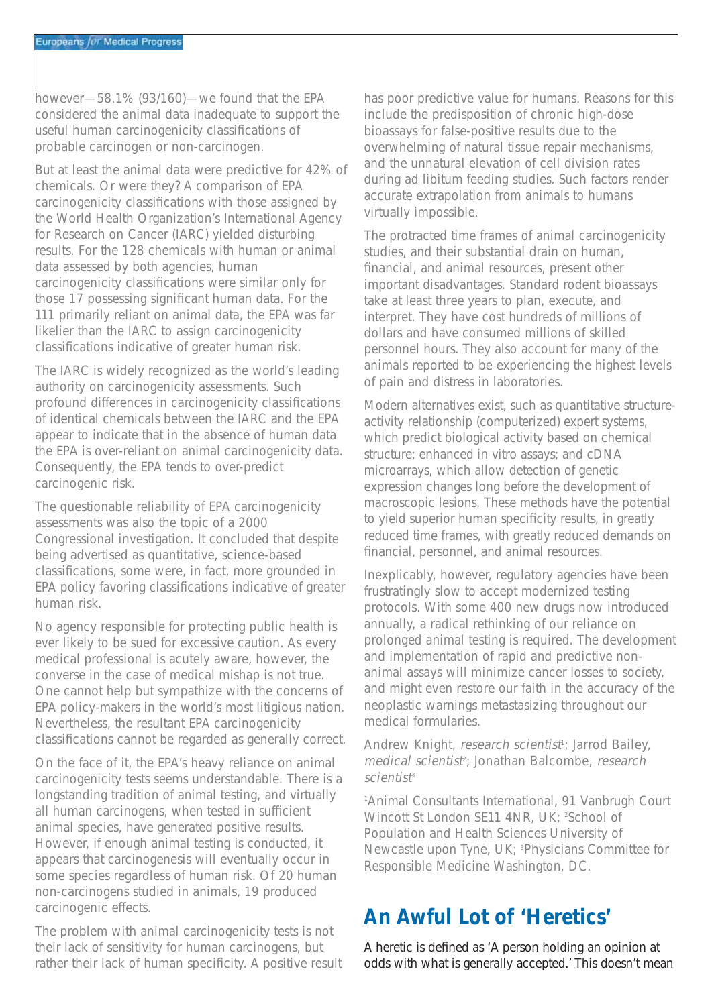however—58.1% (93/160)—we found that the EPA considered the animal data inadequate to support the useful human carcinogenicity classifications of probable carcinogen or non-carcinogen.

But at least the animal data were predictive for 42% of chemicals. Or were they? A comparison of EPA carcinogenicity classifications with those assigned by the World Health Organization's International Agency for Research on Cancer (IARC) yielded disturbing results. For the 128 chemicals with human or animal data assessed by both agencies, human carcinogenicity classifications were similar only for those 17 possessing significant human data. For the 111 primarily reliant on animal data, the EPA was far likelier than the IARC to assign carcinogenicity classifications indicative of greater human risk.

The IARC is widely recognized as the world's leading authority on carcinogenicity assessments. Such profound differences in carcinogenicity classifications of identical chemicals between the IARC and the EPA appear to indicate that in the absence of human data the EPA is over-reliant on animal carcinogenicity data. Consequently, the EPA tends to over-predict carcinogenic risk.

The questionable reliability of EPA carcinogenicity assessments was also the topic of a 2000 Congressional investigation. It concluded that despite being advertised as quantitative, science-based classifications, some were, in fact, more grounded in EPA policy favoring classifications indicative of greater human risk.

No agency responsible for protecting public health is ever likely to be sued for excessive caution. As every medical professional is acutely aware, however, the converse in the case of medical mishap is not true. One cannot help but sympathize with the concerns of EPA policy-makers in the world's most litigious nation. Nevertheless, the resultant EPA carcinogenicity classifications cannot be regarded as generally correct.

On the face of it, the EPA's heavy reliance on animal carcinogenicity tests seems understandable. There is a longstanding tradition of animal testing, and virtually all human carcinogens, when tested in sufficient animal species, have generated positive results. However, if enough animal testing is conducted, it appears that carcinogenesis will eventually occur in some species regardless of human risk. Of 20 human non-carcinogens studied in animals, 19 produced carcinogenic effects.

The problem with animal carcinogenicity tests is not their lack of sensitivity for human carcinogens, but rather their lack of human specificity. A positive result has poor predictive value for humans. Reasons for this include the predisposition of chronic high-dose bioassays for false-positive results due to the overwhelming of natural tissue repair mechanisms, and the unnatural elevation of cell division rates during ad libitum feeding studies. Such factors render accurate extrapolation from animals to humans virtually impossible.

The protracted time frames of animal carcinogenicity studies, and their substantial drain on human, financial, and animal resources, present other important disadvantages. Standard rodent bioassays take at least three years to plan, execute, and interpret. They have cost hundreds of millions of dollars and have consumed millions of skilled personnel hours. They also account for many of the animals reported to be experiencing the highest levels of pain and distress in laboratories.

Modern alternatives exist, such as quantitative structureactivity relationship (computerized) expert systems, which predict biological activity based on chemical structure; enhanced in vitro assays; and cDNA microarrays, which allow detection of genetic expression changes long before the development of macroscopic lesions. These methods have the potential to yield superior human specificity results, in greatly reduced time frames, with greatly reduced demands on financial, personnel, and animal resources.

Inexplicably, however, regulatory agencies have been frustratingly slow to accept modernized testing protocols. With some 400 new drugs now introduced annually, a radical rethinking of our reliance on prolonged animal testing is required. The development and implementation of rapid and predictive nonanimal assays will minimize cancer losses to society, and might even restore our faith in the accuracy of the neoplastic warnings metastasizing throughout our medical formularies.

Andrew Knight, research scientist<sup>i</sup>; Jarrod Bailey, medical scientist<sup>2</sup>; Jonathan Balcombe, research scientist<sup>3</sup>

1 Animal Consultants International, 91 Vanbrugh Court Wincott St London SE11 4NR, UK; <sup>2</sup>School of Population and Health Sciences University of Newcastle upon Tyne, UK; 3 Physicians Committee for Responsible Medicine Washington, DC.

#### **An Awful Lot of 'Heretics'**

A heretic is defined as 'A person holding an opinion at odds with what is generally accepted.' This doesn't mean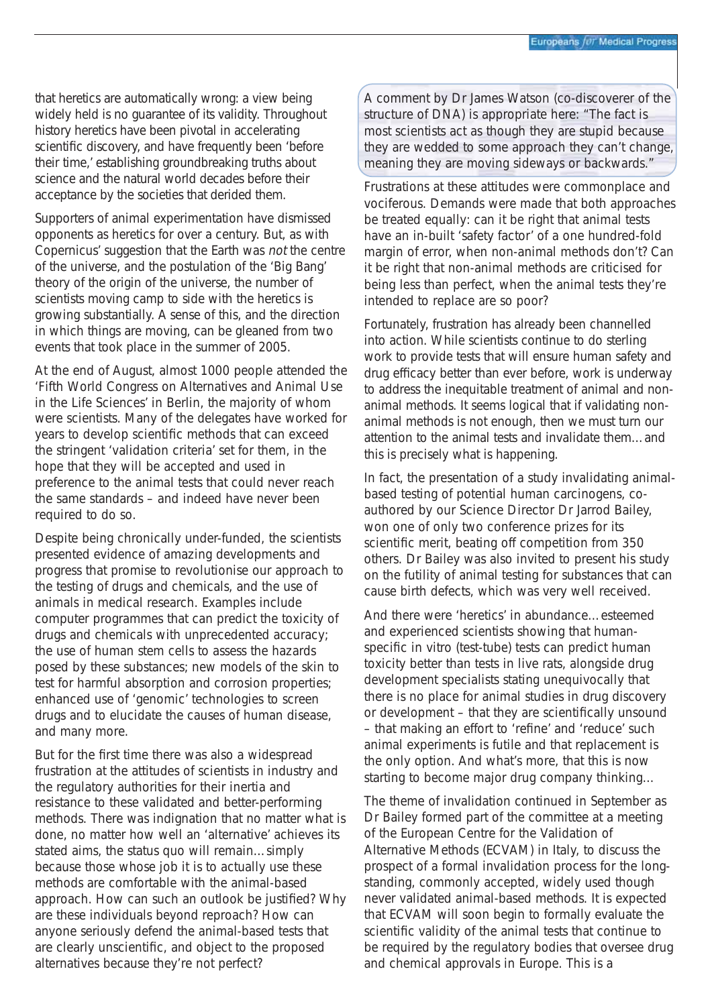that heretics are automatically wrong: a view being widely held is no guarantee of its validity. Throughout history heretics have been pivotal in accelerating scientific discovery, and have frequently been 'before their time,' establishing groundbreaking truths about science and the natural world decades before their acceptance by the societies that derided them.

Supporters of animal experimentation have dismissed opponents as heretics for over a century. But, as with Copernicus' suggestion that the Earth was not the centre of the universe, and the postulation of the 'Big Bang' theory of the origin of the universe, the number of scientists moving camp to side with the heretics is growing substantially. A sense of this, and the direction in which things are moving, can be gleaned from two events that took place in the summer of 2005.

At the end of August, almost 1000 people attended the 'Fifth World Congress on Alternatives and Animal Use in the Life Sciences' in Berlin, the majority of whom were scientists. Many of the delegates have worked for years to develop scientific methods that can exceed the stringent 'validation criteria' set for them, in the hope that they will be accepted and used in preference to the animal tests that could never reach the same standards – and indeed have never been required to do so.

Despite being chronically under-funded, the scientists presented evidence of amazing developments and progress that promise to revolutionise our approach to the testing of drugs and chemicals, and the use of animals in medical research. Examples include computer programmes that can predict the toxicity of drugs and chemicals with unprecedented accuracy; the use of human stem cells to assess the hazards posed by these substances; new models of the skin to test for harmful absorption and corrosion properties; enhanced use of 'genomic' technologies to screen drugs and to elucidate the causes of human disease, and many more.

But for the first time there was also a widespread frustration at the attitudes of scientists in industry and the regulatory authorities for their inertia and resistance to these validated and better-performing methods. There was indignation that no matter what is done, no matter how well an 'alternative' achieves its stated aims, the status quo will remain…simply because those whose job it is to actually use these methods are comfortable with the animal-based approach. How can such an outlook be justified? Why are these individuals beyond reproach? How can anyone seriously defend the animal-based tests that are clearly unscientific, and object to the proposed alternatives because they're not perfect?

A comment by Dr James Watson (co-discoverer of the structure of DNA) is appropriate here: "The fact is most scientists act as though they are stupid because they are wedded to some approach they can't change, meaning they are moving sideways or backwards."

Frustrations at these attitudes were commonplace and vociferous. Demands were made that both approaches be treated equally: can it be right that animal tests have an in-built 'safety factor' of a one hundred-fold margin of error, when non-animal methods don't? Can it be right that non-animal methods are criticised for being less than perfect, when the animal tests they're intended to replace are so poor?

Fortunately, frustration has already been channelled into action. While scientists continue to do sterling work to provide tests that will ensure human safety and drug efficacy better than ever before, work is underway to address the inequitable treatment of animal and nonanimal methods. It seems logical that if validating nonanimal methods is not enough, then we must turn our attention to the animal tests and invalidate them…and this is precisely what is happening.

In fact, the presentation of a study invalidating animalbased testing of potential human carcinogens, coauthored by our Science Director Dr Jarrod Bailey, won one of only two conference prizes for its scientific merit, beating off competition from 350 others. Dr Bailey was also invited to present his study on the futility of animal testing for substances that can cause birth defects, which was very well received.

And there were 'heretics' in abundance…esteemed and experienced scientists showing that humanspecific in vitro (test-tube) tests can predict human toxicity better than tests in live rats, alongside drug development specialists stating unequivocally that there is no place for animal studies in drug discovery or development – that they are scientifically unsound – that making an effort to 'refine' and 'reduce' such animal experiments is futile and that replacement is the only option. And what's more, that this is now starting to become major drug company thinking…

The theme of invalidation continued in September as Dr Bailey formed part of the committee at a meeting of the European Centre for the Validation of Alternative Methods (ECVAM) in Italy, to discuss the prospect of a formal invalidation process for the longstanding, commonly accepted, widely used though never validated animal-based methods. It is expected that ECVAM will soon begin to formally evaluate the scientific validity of the animal tests that continue to be required by the regulatory bodies that oversee drug and chemical approvals in Europe. This is a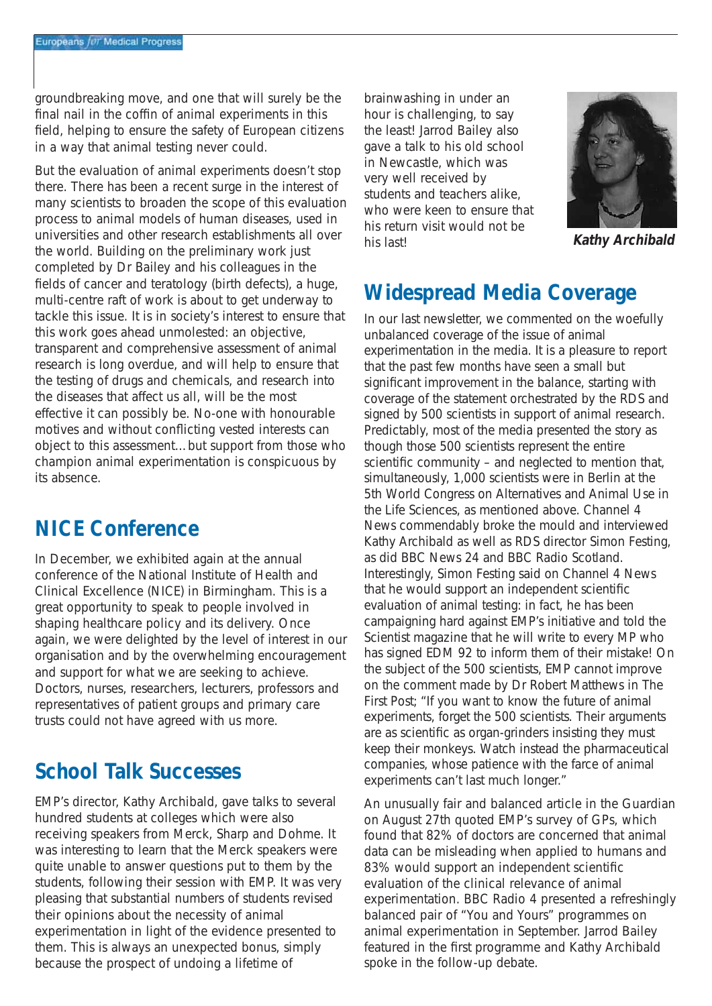groundbreaking move, and one that will surely be the final nail in the coffin of animal experiments in this field, helping to ensure the safety of European citizens in a way that animal testing never could.

But the evaluation of animal experiments doesn't stop there. There has been a recent surge in the interest of many scientists to broaden the scope of this evaluation process to animal models of human diseases, used in universities and other research establishments all over the world. Building on the preliminary work just completed by Dr Bailey and his colleagues in the fields of cancer and teratology (birth defects), a huge, multi-centre raft of work is about to get underway to tackle this issue. It is in society's interest to ensure that this work goes ahead unmolested: an objective, transparent and comprehensive assessment of animal research is long overdue, and will help to ensure that the testing of drugs and chemicals, and research into the diseases that affect us all, will be the most effective it can possibly be. No-one with honourable motives and without conflicting vested interests can object to this assessment…but support from those who champion animal experimentation is conspicuous by its absence.

## **NICE Conference**

In December, we exhibited again at the annual conference of the National Institute of Health and Clinical Excellence (NICE) in Birmingham. This is a great opportunity to speak to people involved in shaping healthcare policy and its delivery. Once again, we were delighted by the level of interest in our organisation and by the overwhelming encouragement and support for what we are seeking to achieve. Doctors, nurses, researchers, lecturers, professors and representatives of patient groups and primary care trusts could not have agreed with us more.

## **School Talk Successes**

EMP's director, Kathy Archibald, gave talks to several hundred students at colleges which were also receiving speakers from Merck, Sharp and Dohme. It was interesting to learn that the Merck speakers were quite unable to answer questions put to them by the students, following their session with EMP. It was very pleasing that substantial numbers of students revised their opinions about the necessity of animal experimentation in light of the evidence presented to them. This is always an unexpected bonus, simply because the prospect of undoing a lifetime of

brainwashing in under an hour is challenging, to say the least! Jarrod Bailey also gave a talk to his old school in Newcastle, which was very well received by students and teachers alike, who were keen to ensure that his return visit would not be his last!



**Kathy Archibald** 

#### **Widespread Media Coverage**

In our last newsletter, we commented on the woefully unbalanced coverage of the issue of animal experimentation in the media. It is a pleasure to report that the past few months have seen a small but significant improvement in the balance, starting with coverage of the statement orchestrated by the RDS and signed by 500 scientists in support of animal research. Predictably, most of the media presented the story as though those 500 scientists represent the entire scientific community – and neglected to mention that, simultaneously, 1,000 scientists were in Berlin at the 5th World Congress on Alternatives and Animal Use in the Life Sciences, as mentioned above. Channel 4 News commendably broke the mould and interviewed Kathy Archibald as well as RDS director Simon Festing, as did BBC News 24 and BBC Radio Scotland. Interestingly, Simon Festing said on Channel 4 News that he would support an independent scientific evaluation of animal testing: in fact, he has been campaigning hard against EMP's initiative and told the Scientist magazine that he will write to every MP who has signed EDM 92 to inform them of their mistake! On the subject of the 500 scientists, EMP cannot improve on the comment made by Dr Robert Matthews in The First Post; "If you want to know the future of animal experiments, forget the 500 scientists. Their arguments are as scientific as organ-grinders insisting they must keep their monkeys. Watch instead the pharmaceutical companies, whose patience with the farce of animal experiments can't last much longer."

An unusually fair and balanced article in the Guardian on August 27th quoted EMP's survey of GPs, which found that 82% of doctors are concerned that animal data can be misleading when applied to humans and 83% would support an independent scientific evaluation of the clinical relevance of animal experimentation. BBC Radio 4 presented a refreshingly balanced pair of "You and Yours" programmes on animal experimentation in September. Jarrod Bailey featured in the first programme and Kathy Archibald spoke in the follow-up debate.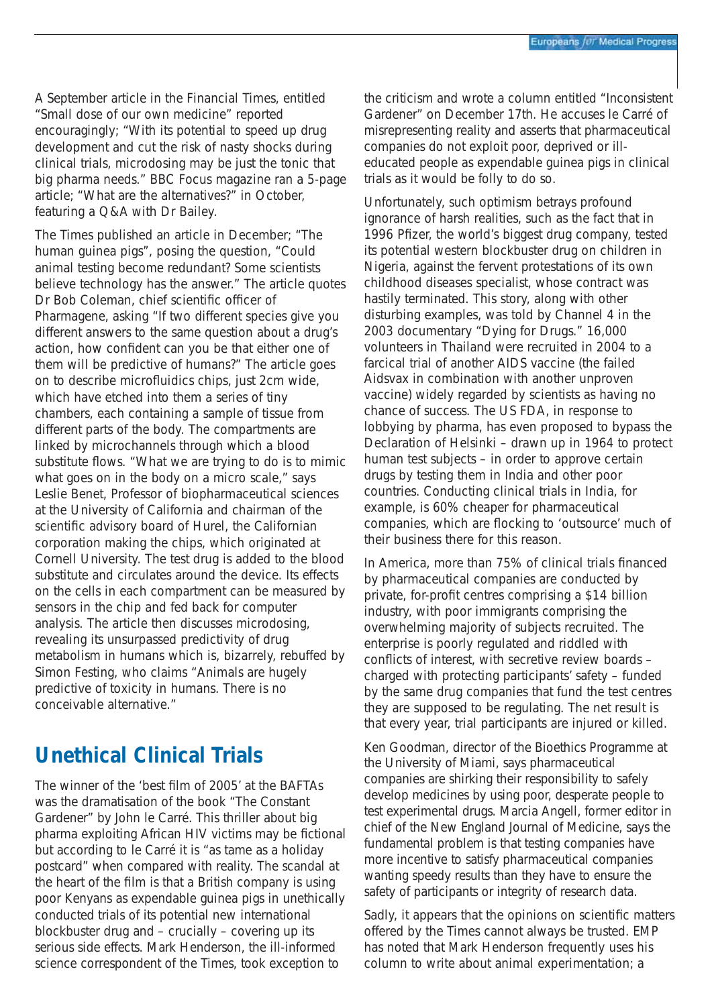A September article in the Financial Times, entitled "Small dose of our own medicine" reported encouragingly; "With its potential to speed up drug development and cut the risk of nasty shocks during clinical trials, microdosing may be just the tonic that big pharma needs." BBC Focus magazine ran a 5-page article; "What are the alternatives?" in October, featuring a Q&A with Dr Bailey.

The Times published an article in December; "The human guinea pigs", posing the question, "Could animal testing become redundant? Some scientists believe technology has the answer." The article quotes Dr Bob Coleman, chief scientific officer of Pharmagene, asking "If two different species give you different answers to the same question about a drug's action, how confident can you be that either one of them will be predictive of humans?" The article goes on to describe microfluidics chips, just 2cm wide, which have etched into them a series of tiny chambers, each containing a sample of tissue from different parts of the body. The compartments are linked by microchannels through which a blood substitute flows. "What we are trying to do is to mimic what goes on in the body on a micro scale," says Leslie Benet, Professor of biopharmaceutical sciences at the University of California and chairman of the scientific advisory board of Hurel, the Californian corporation making the chips, which originated at Cornell University. The test drug is added to the blood substitute and circulates around the device. Its effects on the cells in each compartment can be measured by sensors in the chip and fed back for computer analysis. The article then discusses microdosing, revealing its unsurpassed predictivity of drug metabolism in humans which is, bizarrely, rebuffed by Simon Festing, who claims "Animals are hugely predictive of toxicity in humans. There is no conceivable alternative."

# **Unethical Clinical Trials**

The winner of the 'best film of 2005' at the BAFTAs was the dramatisation of the book "The Constant Gardener" by John le Carré. This thriller about big pharma exploiting African HIV victims may be fictional but according to le Carré it is "as tame as a holiday postcard" when compared with reality. The scandal at the heart of the film is that a British company is using poor Kenyans as expendable guinea pigs in unethically conducted trials of its potential new international blockbuster drug and – crucially – covering up its serious side effects. Mark Henderson, the ill-informed science correspondent of the Times, took exception to

the criticism and wrote a column entitled "Inconsistent Gardener" on December 17th. He accuses le Carré of misrepresenting reality and asserts that pharmaceutical companies do not exploit poor, deprived or illeducated people as expendable guinea pigs in clinical trials as it would be folly to do so.

Unfortunately, such optimism betrays profound ignorance of harsh realities, such as the fact that in 1996 Pfizer, the world's biggest drug company, tested its potential western blockbuster drug on children in Nigeria, against the fervent protestations of its own childhood diseases specialist, whose contract was hastily terminated. This story, along with other disturbing examples, was told by Channel 4 in the 2003 documentary "Dying for Drugs." 16,000 volunteers in Thailand were recruited in 2004 to a farcical trial of another AIDS vaccine (the failed Aidsvax in combination with another unproven vaccine) widely regarded by scientists as having no chance of success. The US FDA, in response to lobbying by pharma, has even proposed to bypass the Declaration of Helsinki – drawn up in 1964 to protect human test subjects – in order to approve certain drugs by testing them in India and other poor countries. Conducting clinical trials in India, for example, is 60% cheaper for pharmaceutical companies, which are flocking to 'outsource' much of their business there for this reason.

In America, more than 75% of clinical trials financed by pharmaceutical companies are conducted by private, for-profit centres comprising a \$14 billion industry, with poor immigrants comprising the overwhelming majority of subjects recruited. The enterprise is poorly regulated and riddled with conflicts of interest, with secretive review boards – charged with protecting participants' safety – funded by the same drug companies that fund the test centres they are supposed to be regulating. The net result is that every year, trial participants are injured or killed.

Ken Goodman, director of the Bioethics Programme at the University of Miami, says pharmaceutical companies are shirking their responsibility to safely develop medicines by using poor, desperate people to test experimental drugs. Marcia Angell, former editor in chief of the New England Journal of Medicine, says the fundamental problem is that testing companies have more incentive to satisfy pharmaceutical companies wanting speedy results than they have to ensure the safety of participants or integrity of research data.

Sadly, it appears that the opinions on scientific matters offered by the Times cannot always be trusted. EMP has noted that Mark Henderson frequently uses his column to write about animal experimentation; a